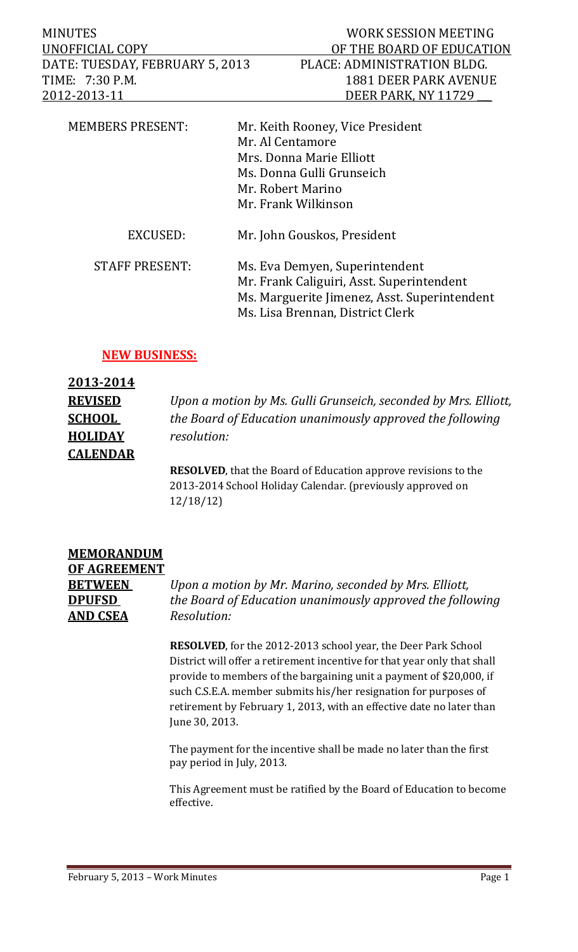| <b>MINUTES</b>                  | WORK SESSION MEETING        |
|---------------------------------|-----------------------------|
| UNOFFICIAL COPY                 | OF THE BOARD OF EDUCATION   |
| DATE: TUESDAY, FEBRUARY 5, 2013 | PLACE: ADMINISTRATION BLDG. |
| TIME: 7:30 P.M.                 | 1881 DEER PARK AVENUE       |
| 2012-2013-11                    | DEER PARK, NY 11729         |
|                                 |                             |

| <b>MEMBERS PRESENT:</b> | Mr. Keith Rooney, Vice President             |
|-------------------------|----------------------------------------------|
|                         | Mr. Al Centamore                             |
|                         | Mrs. Donna Marie Elliott                     |
|                         | Ms. Donna Gulli Grunseich                    |
|                         | Mr. Robert Marino                            |
|                         | Mr. Frank Wilkinson                          |
| EXCUSED:                | Mr. John Gouskos, President                  |
| <b>STAFF PRESENT:</b>   | Ms. Eva Demyen, Superintendent               |
|                         | Mr. Frank Caliguiri, Asst. Superintendent    |
|                         | Ms. Marguerite Jimenez, Asst. Superintendent |
|                         | Ms. Lisa Brennan, District Clerk             |
|                         |                                              |

### **NEW BUSINESS:**

| 2013-2014       |                                                                        |
|-----------------|------------------------------------------------------------------------|
| <b>REVISED</b>  | Upon a motion by Ms. Gulli Grunseich, seconded by Mrs. Elliott,        |
| <b>SCHOOL</b>   | the Board of Education unanimously approved the following              |
| <b>HOLIDAY</b>  | resolution:                                                            |
| <b>CALENDAR</b> |                                                                        |
|                 | <b>RESOLVED</b> , that the Board of Education approve revisions to the |

2013-2014 School Holiday Calendar. (previously approved on 12/18/12) 

| <b>MEMORANDUM</b> |   |
|-------------------|---|
| OF AGREEMENT      |   |
| <b>BETWEEN</b>    |   |
| <b>DPUFSD</b>     | 1 |
| AND CSEA          |   |

**BETWEEN**  *Upon a motion by Mr. Marino, seconded by Mrs. Elliott,* **DPUFSD**  *the Board of Education unanimously approved the following*  $Resolution:$ 

**RESOLVED**, for the 2012-2013 school year, the Deer Park School District will offer a retirement incentive for that year only that shall provide to members of the bargaining unit a payment of \$20,000, if such C.S.E.A. member submits his/her resignation for purposes of retirement by February 1, 2013, with an effective date no later than June 30, 2013.

The payment for the incentive shall be made no later than the first pay period in July, 2013.

This Agreement must be ratified by the Board of Education to become effective.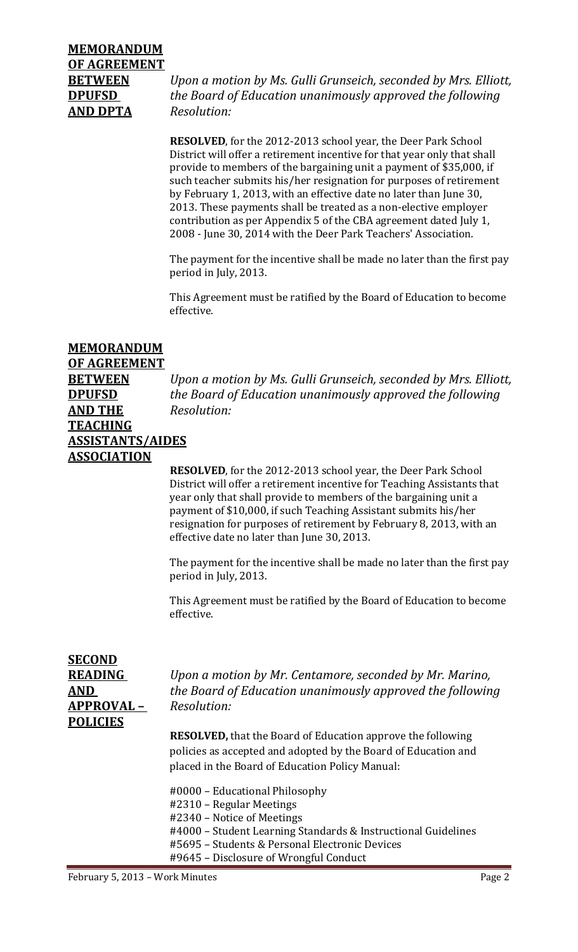# **MEMORANDUM OF AGREEMENT AND DPTA** *Resolution:*

**BETWEEN** *Upon a motion by Ms. Gulli Grunseich, seconded by Mrs. Elliott,* **DPUFSD**  *the Board of Education unanimously approved the following*

> **RESOLVED**, for the 2012-2013 school year, the Deer Park School District will offer a retirement incentive for that year only that shall provide to members of the bargaining unit a payment of \$35,000, if such teacher submits his/her resignation for purposes of retirement by February 1, 2013, with an effective date no later than June 30, 2013. These payments shall be treated as a non-elective employer contribution as per Appendix 5 of the CBA agreement dated July 1, 2008 - June 30, 2014 with the Deer Park Teachers' Association.

The payment for the incentive shall be made no later than the first pay period in July, 2013.

This Agreement must be ratified by the Board of Education to become effective. 

### **MEMORANDUM**

### **OF AGREEMENT**

**AND THE** *Resolution:* **TEACHING ASSISTANTS/AIDES ASSOCIATION**

**BETWEEN** *Upon a motion by Ms. Gulli Grunseich, seconded by Mrs. Elliott,*  **DPUFSD** *the Board of Education unanimously approved the following*

> **RESOLVED**, for the 2012-2013 school year, the Deer Park School District will offer a retirement incentive for Teaching Assistants that year only that shall provide to members of the bargaining unit a payment of \$10,000, if such Teaching Assistant submits his/her resignation for purposes of retirement by February 8, 2013, with an effective date no later than June 30, 2013.

The payment for the incentive shall be made no later than the first pay period in July, 2013.

This Agreement must be ratified by the Board of Education to become effective. 

| <b>SECOND</b><br><b>READING</b><br>AND | Upon a motion by Mr. Centamore, seconded by Mr. Marino,<br>the Board of Education unanimously approved the following                                                                                        |
|----------------------------------------|-------------------------------------------------------------------------------------------------------------------------------------------------------------------------------------------------------------|
| <b>APPROVAL-</b>                       | Resolution:                                                                                                                                                                                                 |
| <b>POLICIES</b>                        |                                                                                                                                                                                                             |
|                                        | <b>RESOLVED, that the Board of Education approve the following</b><br>policies as accepted and adopted by the Board of Education and<br>placed in the Board of Education Policy Manual:                     |
|                                        | #0000 – Educational Philosophy<br>#2310 – Regular Meetings<br>#2340 – Notice of Meetings<br>#4000 – Student Learning Standards & Instructional Guidelines<br>#5695 - Students & Personal Electronic Devices |
|                                        | #9645 – Disclosure of Wrongful Conduct                                                                                                                                                                      |